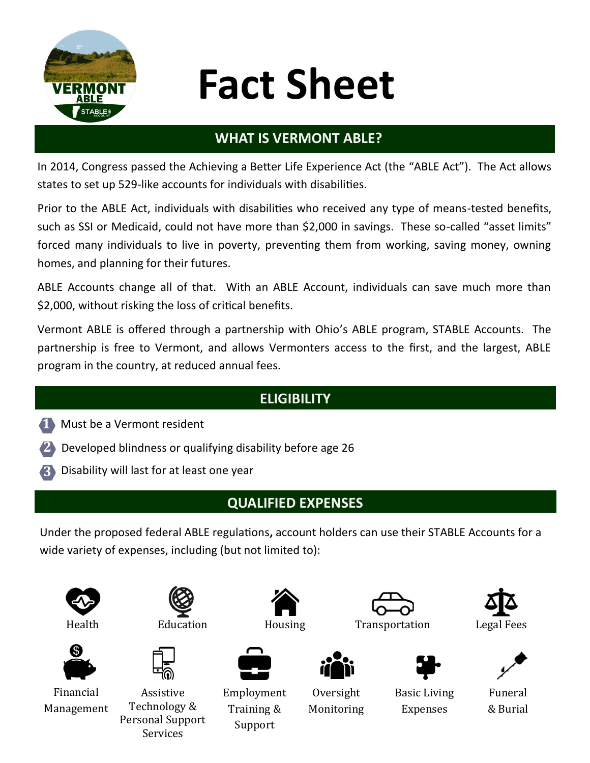

# **Fact Sheet**

#### **WHAT IS VERMONT ABLE?**

In 2014, Congress passed the Achieving a Better Life Experience Act (the "ABLE Act"). The Act allows states to set up 529-like accounts for individuals with disabilities.

Prior to the ABLE Act, individuals with disabilities who received any type of means-tested benefits, such as SSI or Medicaid, could not have more than \$2,000 in savings. These so-called "asset limits" forced many individuals to live in poverty, preventing them from working, saving money, owning homes, and planning for their futures.

ABLE Accounts change all of that. With an ABLE Account, individuals can save much more than \$2,000, without risking the loss of critical benefits.

Vermont ABLE is offered through a partnership with Ohio's ABLE program, STABLE Accounts. The partnership is free to Vermont, and allows Vermonters access to the first, and the largest, ABLE program in the country, at reduced annual fees.

## **ELIGIBILITY**

- **1** Must be a Vermont resident
- **2** Developed blindness or qualifying disability before age 26
- **3** Disability will last for at least one year

### **QUALIFIED EXPENSES**

Under the proposed federal ABLE regulations**,** account holders can use their STABLE Accounts for a wide variety of expenses, including (but not limited to):





Financial

Management





Assistive Technology & Personal Support Services



Employment Training & Support



**Oversight** Monitoring













Basic Living Expenses





Funeral & Burial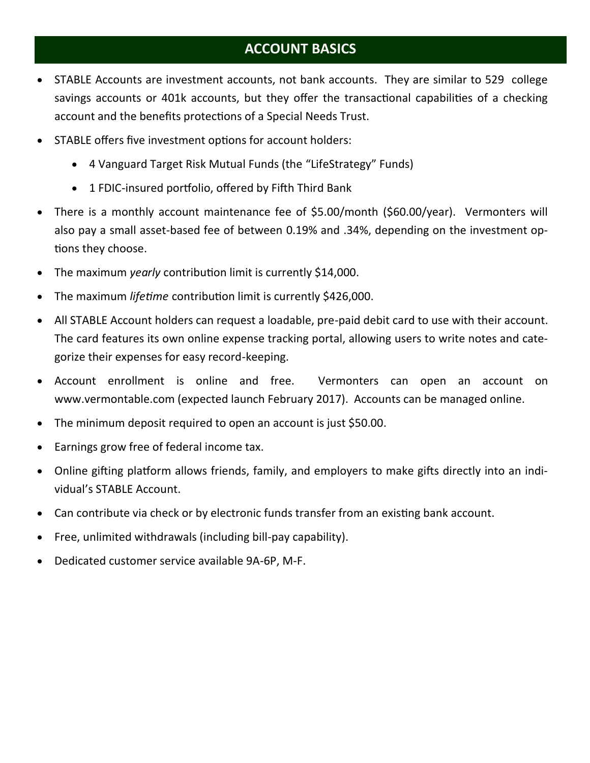#### **ACCOUNT BASICS**

- STABLE Accounts are investment accounts, not bank accounts. They are similar to 529 college savings accounts or 401k accounts, but they offer the transactional capabilities of a checking account and the benefits protections of a Special Needs Trust.
- STABLE offers five investment options for account holders:
	- 4 Vanguard Target Risk Mutual Funds (the "LifeStrategy" Funds)
	- 1 FDIC-insured portfolio, offered by Fifth Third Bank
- There is a monthly account maintenance fee of \$5.00/month (\$60.00/year). Vermonters will also pay a small asset-based fee of between 0.19% and .34%, depending on the investment options they choose.
- The maximum *yearly* contribution limit is currently \$14,000.
- The maximum *lifetime* contribution limit is currently \$426,000.
- All STABLE Account holders can request a loadable, pre-paid debit card to use with their account. The card features its own online expense tracking portal, allowing users to write notes and categorize their expenses for easy record-keeping.
- Account enrollment is online and free. Vermonters can open an account on www.vermontable.com (expected launch February 2017). Accounts can be managed online.
- The minimum deposit required to open an account is just \$50.00.
- Earnings grow free of federal income tax.
- Online gifting platform allows friends, family, and employers to make gifts directly into an individual's STABLE Account.
- Can contribute via check or by electronic funds transfer from an existing bank account.
- Free, unlimited withdrawals (including bill-pay capability).
- Dedicated customer service available 9A-6P, M-F.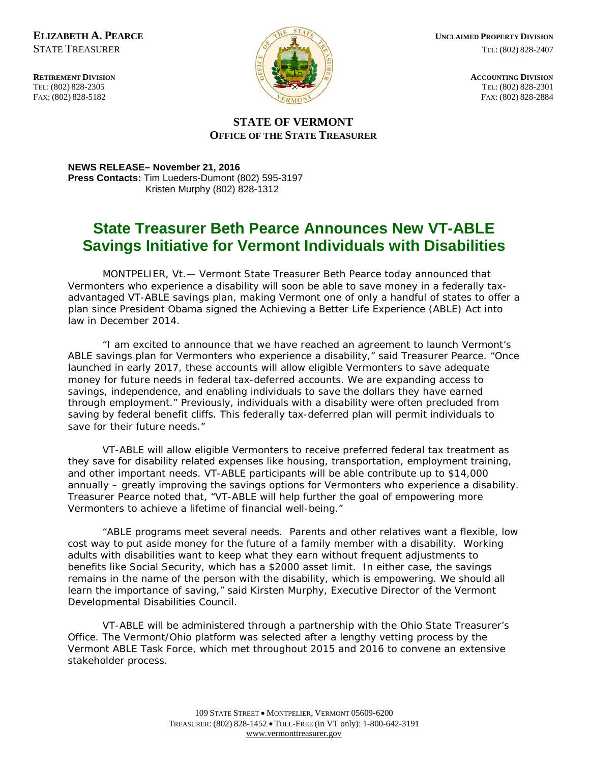FAX: (802) 828-5182



**ELIZABETH A. PEARCE EXISTENCE <b>CONSIDERED UNCLAIMED PROPERTY DIVISION** STATE TREASURER TEL: (802) 828-2407

#### **STATE OF VERMONT OFFICE OF THE STATE TREASURER**

**NEWS RELEASE– November 21, 2016 Press Contacts:** Tim Lueders-Dumont (802) 595-3197 Kristen Murphy (802) 828-1312

### **State Treasurer Beth Pearce Announces New VT-ABLE Savings Initiative for Vermont Individuals with Disabilities**

MONTPELIER, Vt.— Vermont State Treasurer Beth Pearce today announced that Vermonters who experience a disability will soon be able to save money in a federally taxadvantaged VT-ABLE savings plan, making Vermont one of only a handful of states to offer a plan since President Obama signed the Achieving a Better Life Experience (ABLE) Act into law in December 2014.

"I am excited to announce that we have reached an agreement to launch Vermont's ABLE savings plan for Vermonters who experience a disability," said Treasurer Pearce. "Once launched in early 2017, these accounts will allow eligible Vermonters to save adequate money for future needs in federal tax-deferred accounts. We are expanding access to savings, independence, and enabling individuals to save the dollars they have earned through employment." Previously, individuals with a disability were often precluded from saving by federal benefit cliffs. This federally tax-deferred plan will permit individuals to save for their future needs."

VT-ABLE will allow eligible Vermonters to receive preferred federal tax treatment as they save for disability related expenses like housing, transportation, employment training, and other important needs. VT-ABLE participants will be able contribute up to \$14,000 annually – greatly improving the savings options for Vermonters who experience a disability. Treasurer Pearce noted that, "VT-ABLE will help further the goal of empowering more Vermonters to achieve a lifetime of financial well-being."

"ABLE programs meet several needs. Parents and other relatives want a flexible, low cost way to put aside money for the future of a family member with a disability. Working adults with disabilities want to keep what they earn without frequent adjustments to benefits like Social Security, which has a \$2000 asset limit. In either case, the savings remains in the name of the person with the disability, which is empowering. We should all learn the importance of saving," said Kirsten Murphy, Executive Director of the Vermont Developmental Disabilities Council.

VT-ABLE will be administered through a partnership with the Ohio State Treasurer's Office. The Vermont/Ohio platform was selected after a lengthy vetting process by the Vermont ABLE Task Force, which met throughout 2015 and 2016 to convene an extensive stakeholder process.